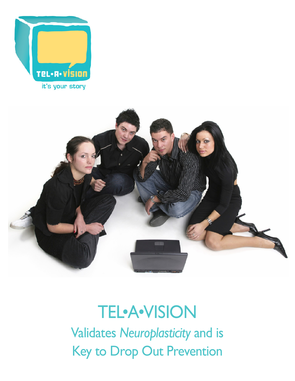



## TEL•A•VISION Validates *Neuroplasticity* and is Key to Drop Out Prevention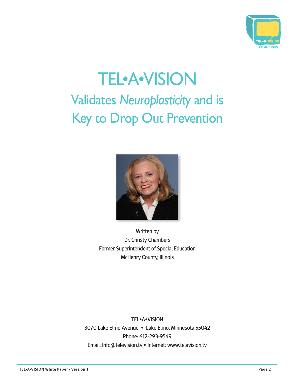

# TEL•A•VISION Validates *Neuroplasticity* and is Key to Drop Out Prevention



Written by Dr. Christy Chambers Former Superintendent of Special Education McHenry County, Illinois

TEL•A•VISION 3070 Lake Elmo Avenue • Lake Elmo, Minnesota 55042 Phone: 612-293-9549 Email: Info@television.tv • Internet: www.telavision.tv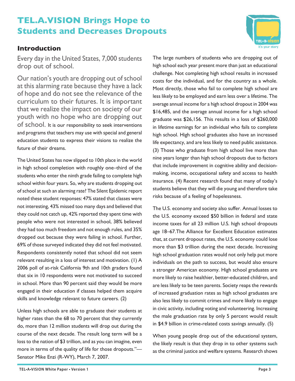## **TEL.A.VISION Brings Hope to Students and Decreases Dropouts**

## **Introduction**

Every day in the United States, 7,000 students drop out of school.

Our nation's youth are dropping out of school at this alarming rate because they have a lack of hope and do not see the relevance of the curriculum to their futures. It is important that we realize the impact on society of our youth with no hope who are dropping out of school. It is our responsibility to seek interventions and programs that teachers may use with special and general education students to express their visions to realize the future of their dreams.

The United States has now slipped to 10th place in the world in high school completion with roughly one–third of the students who enter the ninth grade failing to complete high school within four years. So, why are students dropping out of school at such an alarming rate? The Silent Epidemic report noted these student responses: 47% stated that classes were not interesting, 43% missed too many days and believed that they could not catch up, 42% reported they spent time with people who were not interested in school, 38% believed they had too much freedom and not enough rules, and 35% dropped out because they were failing in school. Further, 69% of those surveyed indicated they did not feel motivated. Respondents consistently noted that school did not seem relevant resulting in a loss of interest and motivation. (1) A 2006 poll of at-risk California 9th and 10th graders found that six in 10 respondents were not motivated to succeed in school. More than 90 percent said they would be more engaged in their education if classes helped them acquire skills and knowledge relevant to future careers. (2)

Unless high schools are able to graduate their students at higher rates than the 68 to 70 percent that they currently do, more than 12 million students will drop out during the course of the next decade. The result long term will be a loss to the nation of \$3 trillion, and as you can imagine, even more in terms of the quality of life for those dropouts."— Senator Mike Enzi (R-WY), March 7, 2007.

The large numbers of students who are dropping out of high school each year present more than just an educational challenge. Not completing high school results in increased costs for the individual, and for the country as a whole. Most directly, those who fail to complete high school are less likely to be employed and earn less over a lifetime. The average annual income for a high school dropout in 2004 was \$16,485, and the average annual income for a high school graduate was \$26,156. This results in a loss of \$260,000 in lifetime earnings for an individual who fails to complete high school. High school graduates also have an increased life expectancy, and are less likely to need public assistance. (3) Those who graduate from high school live more than nine years longer than high school dropouts due to factors that include improvement in cognitive ability and decisionmaking, income, occupational safety and access to health insurance. (4) Recent research found that many of today's students believe that they will die young and therefore take risks because of a feeling of hopelessness.

The U.S. economy and society also suffer. Annual losses to the U.S. economy exceed \$50 billion in federal and state income taxes for all 23 million U.S. high school dropouts age 18–67.The Alliance for Excellent Education estimates that, at current dropout rates, the U.S. economy could lose more than \$3 trillion during the next decade. Increasing high school graduation rates would not only help put more individuals on the path to success, but would also ensure a stronger American economy. High school graduates are more likely to raise healthier, better-educated children, and are less likely to be teen parents. Society reaps the rewards of increased graduation rates as high school graduates are also less likely to commit crimes and more likely to engage in civic activity, including voting and volunteering. Increasing the male graduation rate by only 5 percent would result in \$4.9 billion in crime-related costs savings annually. (5)

When young people drop out of the educational system, the likely result is that they drop in to other systems such as the criminal justice and welfare systems. Research shows

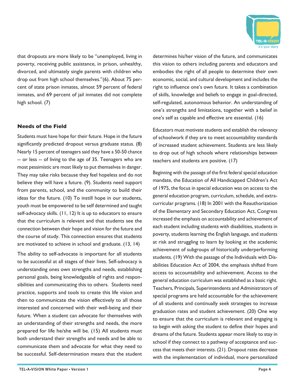that dropouts are more likely to be "unemployed, living in poverty, receiving public assistance, in prison, unhealthy, divorced, and ultimately single parents with children who drop out from high school themselves."(6). About 75 percent of state prison inmates, almost 59 percent of federal inmates, and 69 percent of jail inmates did not complete high school. (7)

## **Needs of the Field**

Students must have hope for their future. Hope in the future significantly predicted dropout versus graduate status. (8) Nearly 15 percent of teenagers said they have a 50-50 chance -- or less -- of living to the age of 35. Teenagers who are most pessimistic are most likely to put themselves in danger. They may take risks because they feel hopeless and do not believe they will have a future. (9). Students need support from parents, school, and the community to build their ideas for the future. (10) To instill hope in our students, youth must be empowered to be self determined and taught self-advocacy skills. (11, 12) It is up to educators to ensure that the curriculum is relevant and that students see the connection between their hope and vision for the future and the course of study. This connection ensures that students are motivated to achieve in school and graduate. (13, 14)

The ability to self-advocate is important for all students to be successful at all stages of their lives. Self-advocacy is understanding ones own strengths and needs, establishing personal goals, being knowledgeable of rights and responsibilities and communicating this to others. Students need practice, supports and tools to create this life vision and then to communicate the vision effectively to all those interested and concerned with their well-being and their future. When a student can advocate for themselves with an understanding of their strengths and needs, the more prepared for life he/she will be. (15) All students must both understand their strengths and needs and be able to communicate them and advocate for what they need to be successful. Self-determination means that the student

determines his/her vision of the future, and communicates this vision to others including parents and educators and embodies the right of all people to determine their own economic, social, and cultural development and includes the right to influence one's own future. It takes a combination of skills, knowledge and beliefs to engage in goal-directed, self-regulated, autonomous behavior. An understanding of one's strengths and limitations, together with a belief in one's self as capable and effective are essential. (16)

Educators must motivate students and establish the relevancy of schoolwork if they are to meet accountability standards of increased student achievement. Students are less likely to drop out of high schools where relationships between teachers and students are positive. (17)

Beginning with the passage of the first federal special education mandate, the Education of All Handicapped Children's Act of 1975, the focus in special education was on access to the general education program, curriculum, schedule, and extracurricular programs. (18) In 2001 with the Reauthorization of the Elementary and Secondary Education Act, Congress increased the emphasis on accountability and achievement of each student including students with disabilities, students in poverty, students learning the English language, and students at risk and struggling to learn by looking at the academic achievement of subgroups of historically underperforming students. (19) With the passage of the Individuals with Disabilities Education Act of 2004, the emphasis shifted from access to accountability and achievement. Access to the general education curriculum was established as a basic right. Teachers, Principals, Superintendents and Administrators of special programs are held accountable for the achievement of all students and continually seek strategies to increase graduation rates and student achievement. (20) One way to ensure that the curriculum is relevant and engaging is to begin with asking the student to define their hopes and dreams of the future. Students appear more likely to stay in school if they connect to a pathway of acceptance and success that meets their interests. (21). Dropout rates decrease with the implementation of individual, more personalized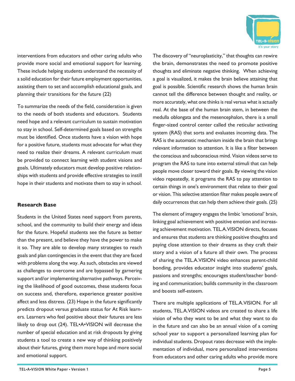

interventions from educators and other caring adults who provide more social and emotional support for learning. These include helping students understand the necessity of a solid education for their future employment opportunities, assisting them to set and accomplish educational goals, and planning their transitions for the future (22)

To summarize the needs of the field, consideration is given to the needs of both students and educators. Students need hope and a relevant curriculum to sustain motivation to stay in school. Self-determined goals based on strengths must be identified. Once students have a vision with hope for a positive future, students must advocate for what they need to realize their dreams. A relevant curriculum must be provided to connect learning with student visions and goals. Ultimately educators must develop positive relationships with students and provide effective strategies to instill hope in their students and motivate them to stay in school.

## **Research Base**

Students in the United States need support from parents, school, and the community to build their energy and ideas for the future. Hopeful students see the future as better than the present, and believe they have the power to make it so. They are able to develop many strategies to reach goals and plan contingencies in the event that they are faced with problems along the way. As such, obstacles are viewed as challenges to overcome and are bypassed by garnering support and/or implementing alternative pathways. Perceiving the likelihood of good outcomes, these students focus on success and, therefore, experience greater positive affect and less distress. (23) Hope in the future significantly predicts dropout versus graduate status for At Risk learners. Learners who feel positive about their futures are less likely to drop out (24). TEL•A•VISION will decrease the number of special education and at risk dropouts by giving students a tool to create a new way of thinking positively about their futures, giving them more hope and more social and emotional support.

The discovery of "neuroplasticity," that thoughts can rewire the brain, demonstrates the need to promote positive thoughts and eliminate negative thinking. When achieving a goal is visualized, it makes the brain believe attaining that goal is possible. Scientific research shows the human brain cannot tell the difference between thought and reality, or more accurately, what one thinks is real versus what is actually real. At the base of the human brain stem, in between the medulla oblongata and the mesencephalon, there is a small finger-sized control center called the reticular activating system (RAS) that sorts and evaluates incoming data. The RAS is the automatic mechanism inside the brain that brings relevant information to attention. It is like a filter between the conscious and subconscious mind. Vision videos serve to program the RAS to tune into external stimuli that can help people move closer toward their goals. By viewing the vision video repeatedly, it programs the RAS to pay attention to certain things in one's environment that relate to their goal or vision. This selective attention filter makes people aware of daily occurrences that can help them achieve their goals. (25)

The element of imagery engages the limbic 'emotional' brain, linking goal achievement with positive emotion and increasing achievement motivation. TEL.A.VISION directs, focuses and ensures that students are thinking positive thoughts and paying close attention to their dreams as they craft their story and a vision of a future all their own. The process of sharing the TEL.A.VISION video enhances parent-child bonding, provides educator insight into students' goals, passions and strengths; encourages student/teacher bonding and communication; builds community in the classroom and boosts self-esteem.

There are multiple applications of TEL.A.VISION. For all students, TEL.A.VISION videos are created to share a life vision of who they want to be and what they want to do in the future and can also be an annual vision of a coming school year to support a personalized learning plan for individual students. Dropout rates decrease with the implementation of individual, more personalized interventions from educators and other caring adults who provide more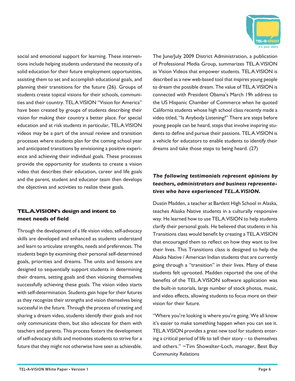

social and emotional support for learning. These interventions include helping students understand the necessity of a solid education for their future employment opportunities, assisting them to set and accomplish educational goals, and planning their transitions for the future (26). Groups of students create topical visions for their schools, communities and their country. TEL.A.VISION "Vision for America" have been created by groups of students describing their vision for making their country a better place. For special education and at risk students in particular, TEL.A.VISION videos may be a part of the annual review and transition processes where students plan for the coming school year and anticipated transitions by envisioning a positive experience and achieving their individual goals. These processes provide the opportunity for students to create a vision video that describes their education, career and life goals and the parent, student and educator team then develops the objectives and activities to realize these goals.

## **TEL.A.VISION's design and intent to meet needs of field**

Through the development of a life vision video, self-advocacy skills are developed and enhanced as students understand and learn to articulate strengths, needs and preferences. The students begin by examining their personal self-determined goals, priorities and dreams. The units and lessons are designed to sequentially support students in determining their dreams, setting goals and then visioning themselves successfully achieving these goals. The vision video starts with self-determination. Students gain hope for their futures as they recognize their strengths and vision themselves being successful in the future. Through the process of creating and sharing a dream video, students identify their goals and not only communicate them, but also advocate for them with teachers and parents. This process fosters the development of self-advocacy skills and motivates students to strive for a future that they might not otherwise have seen as achievable.

The June/July 2009 District Administration, a publication of Professional Media Group, summarizes TEL.A.VISION as Vision Videos that empower students. TEL.A.VISION is described as a new web-based tool that inspires young people to dream the possible dream. The value of TEL.A.VISION is connected with President Obama's March 19h address to the US Hispanic Chamber of Commerce when he quoted California students whose high school class recently made a video titled, "Is Anybody Listening?" There are steps before young people can be heard, steps that involve inspiring students to define and pursue their passions. TEL.A.VISION is a vehicle for educators to enable students to identify their dreams and take those steps to being heard. (27)

## *The following testimonials represent opinions by teachers, administrators and business representatives who have experienced TEL.A.VISION.*

Dustin Madden, a teacher at Bartlett High School in Alaska, teaches Alaska Native students in a culturally responsive way. He learned how to use TEL.A.VISION to help students clarify their personal goals. He believed that students in his Transitions class would benefit by creating a TEL.A.VISION that encouraged them to reflect on how they want to live their lives. This Transitions class is designed to help the Alaska Native / American Indian students that are currently going through a "transition" in their lives. Many of these students felt uprooted. Madden reported the one of the benefits of the TEL.A.VISION software application was the built-in tutorials, large number of stock photos, music, and video effects, allowing students to focus more on their vision for their future.

"Where you're looking is where you're going. We all know it's easier to make something happen when you can see it. TEL.A.VISION provides a great new tool for students entering a critical period of life to tell their story – to themselves and others." ~Tim Showalter-Loch, manager, Best Buy Community Relations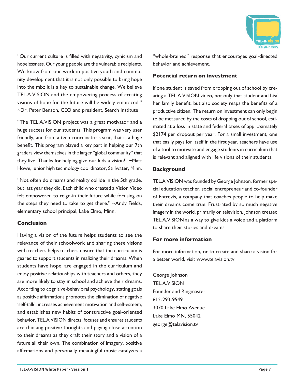

"Our current culture is filled with negativity, cynicism and hopelessness. Our young people are the vulnerable recipients. We know from our work in positive youth and community development that it is not only possible to bring hope into the mix; it is a key to sustainable change. We believe TEL.A.VISION and the empowering process of creating visions of hope for the future will be widely embraced." ~Dr. Peter Benson, CEO and president, Search Institute

"The TEL.A.VISION project was a great motivator and a huge success for our students. This program was very user friendly, and from a tech coordinator's seat, that is a huge benefit. This program played a key part in helping our 7th graders view themselves in the larger "global community" that they live. Thanks for helping give our kids a vision!" ~Matt Howe, junior high technology coordinator, Stillwater, Minn.

"Not often do dreams and reality collide in the 5th grade, but last year they did. Each child who created a Vision Video felt empowered to reign-in their future while focusing on the steps they need to take to get there." ~Andy Fields, elementary school principal, Lake Elmo, Minn.

## **Conclusion**

Having a vision of the future helps students to see the relevance of their schoolwork and sharing these visions with teachers helps teachers ensure that the curriculum is geared to support students in realizing their dreams. When students have hope, are engaged in the curriculum and enjoy positive relationships with teachers and others, they are more likely to stay in school and achieve their dreams. According to cognitive-behavioral psychology, stating goals as positive affirmations promotes the elimination of negative 'self-talk', increases achievement motivation and self-esteem, and establishes new habits of constructive goal-oriented behavior. TEL.A.VISION directs, focuses and ensures students are thinking positive thoughts and paying close attention to their dreams as they craft their story and a vision of a future all their own. The combination of imagery, positive affirmations and personally meaningful music catalyzes a

"whole-brained" response that encourages goal-directed behavior and achievement.

#### **Potential return on investment**

If one student is saved from dropping out of school by creating a TEL.A.VISION video, not only that student and his/ her family benefit, but also society reaps the benefits of a productive citizen. The return on investment can only begin to be measured by the costs of dropping out of school, estimated at a loss in state and federal taxes of approximately \$2174 per dropout per year. For a small investment, one that easily pays for itself in the first year, teachers have use of a tool to motivate and engage students in curriculum that is relevant and aligned with life visions of their students.

## **Background**

TEL.A.VISION was founded by George Johnson, former special education teacher, social entrepreneur and co-founder of Entrevis, a company that coaches people to help make their dreams come true. Frustrated by so much negative imagery in the world, primarily on television, Johnson created TEL.A.VISION as a way to give kids a voice and a platform to share their stories and dreams.

## **For more information**

For more information, or to create and share a vision for a better world, visit www.telavision.tv

George Johnson TEL.A.VISION Founder and Ringmaster 612-293-9549 3070 Lake Elmo Avenue Lake Elmo MN, 55042 george@telavision.tv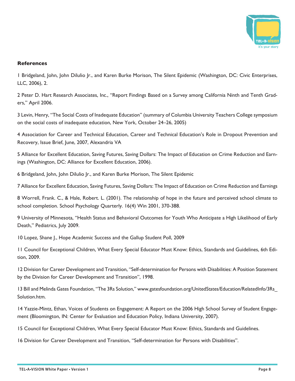

## **References**

1 Bridgeland, John, John DiIulio Jr., and Karen Burke Morison, The Silent Epidemic (Washington, DC: Civic Enterprises, LLC, 2006), 2.

2 Peter D. Hart Research Associates, Inc., "Report Findings Based on a Survey among California Ninth and Tenth Graders," April 2006.

3 Levin, Henry, "The Social Costs of Inadequate Education" (summary of Columbia University Teachers College symposium on the social costs of inadequate education, New York, October 24–26, 2005)

4 Association for Career and Technical Education, Career and Technical Education's Role in Dropout Prevention and Recovery, Issue Brief, June, 2007, Alexandria VA

5 Alliance for Excellent Education, Saving Futures, Saving Dollars: The Impact of Education on Crime Reduction and Earnings (Washington, DC: Alliance for Excellent Education, 2006).

6 Bridgeland, John, John DiIulio Jr., and Karen Burke Morison, The Silent Epidemic

7 Alliance for Excellent Education, Saving Futures, Saving Dollars: The Impact of Education on Crime Reduction and Earnings

8 Worrell, Frank. C., & Hale, Robert. L. (2001). The relationship of hope in the future and perceived school climate to school completion. School Psychology Quarterly. 16(4) Win 2001, 370-388.

9 University of Minnesota, "Health Status and Behavioral Outcomes for Youth Who Anticipate a High Likelihood of Early Death," Pediatrics, July 2009.

10 Lopez, Shane J., Hope Academic Success and the Gallup Student Poll, 2009

11 Council for Exceptional Children, What Every Special Educator Must Know: Ethics, Standards and Guidelines, 6th Edition, 2009.

12 Division for Career Development and Transition, "Self-determination for Persons with Disabilities: A Position Statement by the Division for Career Development and Transition", 1998.

13 Bill and Melinda Gates Foundation, "The 3Rs Solution," www.gatesfoundation.org/UnitedStates/Education/RelatedInfo/3Rs\_ Solution.htm.

14 Yazzie-Mintz, Ethan, Voices of Students on Engagement: A Report on the 2006 High School Survey of Student Engagement (Bloomington, IN: Center for Evaluation and Education Policy, Indiana University, 2007).

15 Council for Exceptional Children, What Every Special Educator Must Know: Ethics, Standards and Guidelines.

16 Division for Career Development and Transition, "Self-determination for Persons with Disabilities".